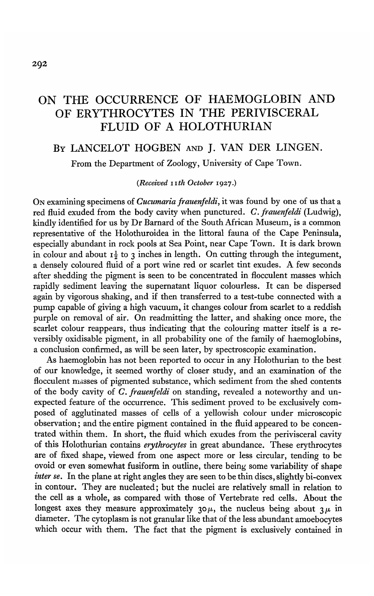# ON THE OCCURRENCE OF HAEMOGLOBIN AND OF ERYTHROCYTES IN THE PERIVISCERAL FLUID OF A HOLOTHURIAN

## BY LANCELOT HOGBEN AND J. VAN DER LINGEN.

From the Department of Zoology, University of Cape Town.

### *(Received nth October* 1927.)

ON examining specimens of *Cucumaria frauenfeldi,* it was found by one of us that a red fluid exuded from the body cavity when punctured. *C. frauenfeldi* (Ludwig), kindly identified for us by Dr Barnard of the South African Museum, is a common representative of the Holothuroidea in the littoral fauna of the Cape Peninsula, especially abundant in rock pools at Sea Point, near Cape Town. It is dark brown in colour and about  $I_2^1$  to 3 inches in length. On cutting through the integument, a densely coloured fluid of a port wine red or scarlet tint exudes. A few seconds after shedding the pigment is seen to be concentrated in flocculent masses which rapidly sediment leaving the supernatant liquor colourless. It can be dispersed again by vigorous shaking, and if then transferred to a test-tube connected with a pump capable of giving a high vacuum, it changes colour from scarlet to a reddish purple on removal of air. On readmitting the latter, and shaking once more, the scarlet colour reappears, thus indicating that the colouring matter itself is a reversibly oxidisable pigment, in all probability one of the family of haemoglobins, a conclusion confirmed, as will be seen later, by spectroscopic examination.

As haemoglobin has not been reported to occur in any Holothurian to the best of our knowledge, it seemed worthy of closer study, and an examination of the flocculent masses of pigmented substance, which sediment from the shed contents of the body cavity of *C. frauenfeldi* on standing, revealed a noteworthy and unexpected feature of the occurrence. This sediment proved to be exclusively composed of agglutinated masses of cells of a yellowish colour under microscopic observation; and the entire pigment contained in the fluid appeared to be concentrated within them. In short, the fluid which exudes from the perivisceral cavity of this Holothurian contains *erythrocytes* in great abundance. These erythrocytes are of fixed shape, viewed from one aspect more or less circular, tending to be ovoid or even somewhat fusiform in outline, there being some variability of shape *inter se.* In the plane at right angles they are seen to be thin discs, slightly bi-convex in contour. They are nucleated; but the nuclei are relatively small in relation to the cell as a whole, as compared with those of Vertebrate red cells. About the longest axes they measure approximately 30 $\mu$ , the nucleus being about 3 $\mu$  in diameter. The cytoplasm is not granular like that of the less abundant amoebocytes which occur with them. The fact that the pigment is exclusively contained in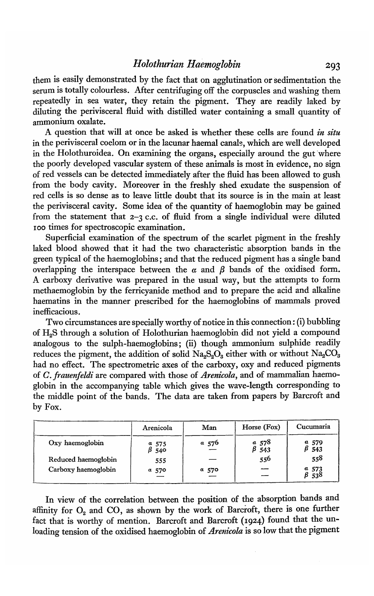them is easily demonstrated by the fact that on agglutination or sedimentation the serum is totally colourless. After centrifuging off the corpuscles and washing them repeatedly in sea water, they retain the pigment. They are readily laked by diluting the perivisceral fluid with distilled water containing a small quantity of ammonium oxalate.

A question that will at once be asked is whether these cells are found *in situ* in the perivisceral coelom or in the lacunar haemal canals, which are well developed in the Holothuroidea. On examining the organs, especially around the gut where the poorly developed vascular system of these animals is most in evidence, no sign of red vessels can be detected immediately after the fluid has been allowed to gush from the body cavity. Moreover in the freshly shed exudate the suspension of red cells is so dense as to leave little doubt that its source is in the main at least the perivisceral cavity. Some idea of the quantity of haemoglobin may be gained from the statement that 2-3 c.c. of fluid from a single individual were diluted 100 times for spectroscopic examination.

Superficial examination of the spectrum of the scarlet pigment in the freshly laked blood showed that it had the two characteristic absorption bands in the green typical of the haemoglobins; and that the reduced pigment has a single band overlapping the interspace between the  $\alpha$  and  $\beta$  bands of the oxidised form. A carboxy derivative was prepared in the usual way, but the attempts to form methaemoglobin by the ferricyanide method and to prepare the acid and alkaline haematins in the manner prescribed for the haemoglobins of mammals proved inefficacious.

Two circumstances are specially worthy of notice in this connection: (i) bubbling of H2S through a solution of Holothurian haemoglobin did not yield a compound analogous to the sulph-haemoglobins; (ii) though ammonium sulphide readily reduces the pigment, the addition of solid  $Na<sub>2</sub>So<sub>3</sub>$  either with or without  $Na<sub>2</sub>CO<sub>3</sub>$ had no effect. The spectrometric axes of the carboxy, oxy and reduced pigments of *C. franenfeldi* are compared with those of *Arenicola,* and of mammalian haemoglobin in the accompanying table which gives the wave-length corresponding to the middle point of the bands. The data are taken from papers by Barcroft and by Fox.

|                     | Arenicola      | Man     | Horse (Fox)                                           | Cucumaria                                             |
|---------------------|----------------|---------|-------------------------------------------------------|-------------------------------------------------------|
| Oxy haemoglobin     | $a$ 575<br>540 | a, 576  | $\begin{array}{c} a & 578 \\ \beta & 543 \end{array}$ | $a$ 579<br>543                                        |
| Reduced haemoglobin | 555            |         | 556                                                   | 558                                                   |
| Carboxy haemoglobin | $a$ 570        | $a$ 570 |                                                       | $\begin{array}{c} a & 573 \\ \beta & 538 \end{array}$ |

In view of the correlation between the position of the absorption bands and affinity for  $O_2$  and  $CO$ , as shown by the work of Barcroft, there is one further fact that is worthy of mention. Barcroft and Barcroft (1924) found that the unloading tension of the oxidised haemoglobin of *Arenicola* is so low that the pigment